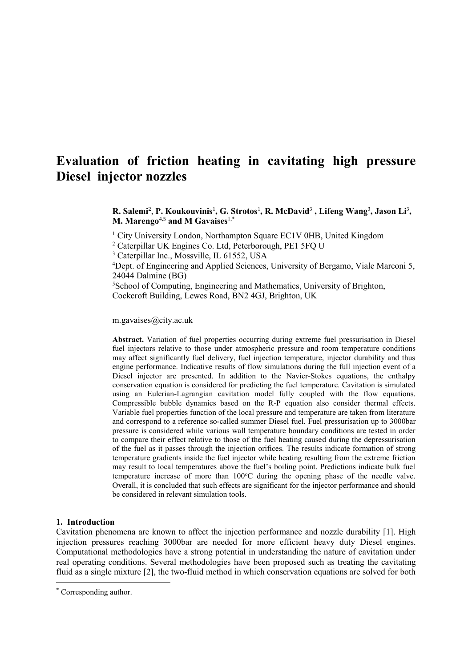# **Evaluation of friction heating in cavitating high pressure Diesel injector nozzles**

R. Salemi<sup>2</sup>, P. Koukouvinis<sup>1</sup>, G. Strotos<sup>1</sup>, R. McDavid<sup>3</sup>, Lifeng Wang<sup>3</sup>, Jason Li<sup>3</sup>, **M. Marengo**4,5 **and M Gavaises**1,\*

<sup>1</sup> City University London, Northampton Square EC1V 0HB, United Kingdom

<sup>2</sup> Caterpillar UK Engines Co. Ltd, Peterborough, PE1 5FQ U

<sup>3</sup> Caterpillar Inc., Mossville, IL 61552, USA

<sup>4</sup>Dept. of Engineering and Applied Sciences, University of Bergamo, Viale Marconi 5, 24044 Dalmine (BG)

<sup>5</sup>School of Computing, Engineering and Mathematics, University of Brighton, Cockcroft Building, Lewes Road, BN2 4GJ, Brighton, UK

m.gavaises@city.ac.uk

**Abstract.** Variation of fuel properties occurring during extreme fuel pressurisation in Diesel fuel injectors relative to those under atmospheric pressure and room temperature conditions may affect significantly fuel delivery, fuel injection temperature, injector durability and thus engine performance. Indicative results of flow simulations during the full injection event of a Diesel injector are presented. In addition to the Navier-Stokes equations, the enthalpy conservation equation is considered for predicting the fuel temperature. Cavitation is simulated using an Eulerian-Lagrangian cavitation model fully coupled with the flow equations. Compressible bubble dynamics based on the R-P equation also consider thermal effects. Variable fuel properties function of the local pressure and temperature are taken from literature and correspond to a reference so-called summer Diesel fuel. Fuel pressurisation up to 3000bar pressure is considered while various wall temperature boundary conditions are tested in order to compare their effect relative to those of the fuel heating caused during the depressurisation of the fuel as it passes through the injection orifices. The results indicate formation of strong temperature gradients inside the fuel injector while heating resulting from the extreme friction may result to local temperatures above the fuel's boiling point. Predictions indicate bulk fuel temperature increase of more than  $100^{\circ}$ C during the opening phase of the needle valve. Overall, it is concluded that such effects are significant for the injector performance and should be considered in relevant simulation tools.

#### **1. Introduction**

Cavitation phenomena are known to affect the injection performance and nozzle durability [\[1\]](#page-3-0). High injection pressures reaching 3000bar are needed for more efficient heavy duty Diesel engines. Computational methodologies have a strong potential in understanding the nature of cavitation under real operating conditions. Several methodologies have been proposed such as treating the cavitating fluid as a single mixture [\[2\]](#page-3-1), the two-fluid method in which conservation equations are solved for both

l

<sup>\*</sup> Corresponding author.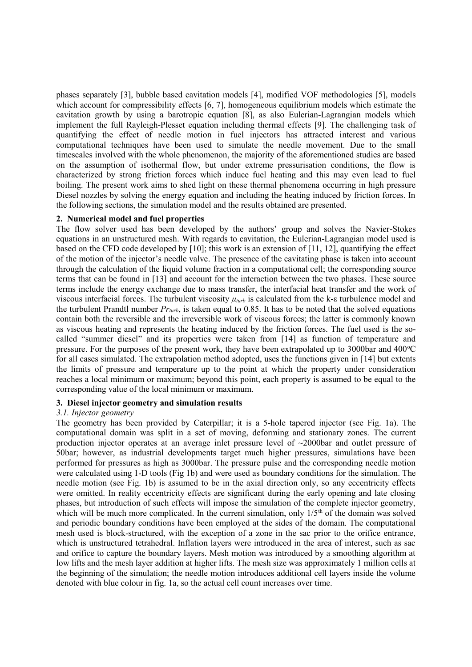phases separately [\[3\]](#page-3-2), bubble based cavitation models [\[4\]](#page-3-3), modified VOF methodologies [\[5\]](#page-3-4), models which account for compressibility effects [\[6,](#page-3-5) [7\]](#page-3-6), homogeneous equilibrium models which estimate the cavitation growth by using a barotropic equation [\[8\]](#page-3-7), as also Eulerian-Lagrangian models which implement the full Rayleigh-Plesset equation including thermal effects [\[9\]](#page-3-8). The challenging task of quantifying the effect of needle motion in fuel injectors has attracted interest and various computational techniques have been used to simulate the needle movement. Due to the small timescales involved with the whole phenomenon, the majority of the aforementioned studies are based on the assumption of isothermal flow, but under extreme pressurisation conditions, the flow is characterized by strong friction forces which induce fuel heating and this may even lead to fuel boiling. The present work aims to shed light on these thermal phenomena occurring in high pressure Diesel nozzles by solving the energy equation and including the heating induced by friction forces. In the following sections, the simulation model and the results obtained are presented.

## **2. Numerical model and fuel properties**

The flow solver used has been developed by the authors' group and solves the Navier-Stokes equations in an unstructured mesh. With regards to cavitation, the Eulerian-Lagrangian model used is based on the CFD code developed by [\[10\]](#page-3-9); this work is an extension of [\[11,](#page-3-10) [12\]](#page-3-11), quantifying the effect of the motion of the injector's needle valve. The presence of the cavitating phase is taken into account through the calculation of the liquid volume fraction in a computational cell; the corresponding source terms that can be found in [\[13\]](#page-3-12) and account for the interaction between the two phases. These source terms include the energy exchange due to mass transfer, the interfacial heat transfer and the work of viscous interfacial forces. The turbulent viscosity *μturb* is calculated from the k-ε turbulence model and the turbulent Prandtl number  $Pr_{turb}$ , is taken equal to 0.85. It has to be noted that the solved equations contain both the reversible and the irreversible work of viscous forces; the latter is commonly known as viscous heating and represents the heating induced by the friction forces. The fuel used is the socalled "summer diesel" and its properties were taken from [\[14\]](#page-3-13) as function of temperature and pressure. For the purposes of the present work, they have been extrapolated up to 3000bar and  $400^{\circ}$ C for all cases simulated. The extrapolation method adopted, uses the functions given in [\[14\]](#page-3-13) but extents the limits of pressure and temperature up to the point at which the property under consideration reaches a local minimum or maximum; beyond this point, each property is assumed to be equal to the corresponding value of the local minimum or maximum.

## **3. Diesel injector geometry and simulation results**

#### *3.1. Injector geometry*

The geometry has been provided by Caterpillar; it is a 5-hole tapered injector (see Fig. 1a). The computational domain was split in a set of moving, deforming and stationary zones. The current production injector operates at an average inlet pressure level of ~2000bar and outlet pressure of 50bar; however, as industrial developments target much higher pressures, simulations have been performed for pressures as high as 3000bar. The pressure pulse and the corresponding needle motion were calculated using 1-D tools (Fig 1b) and were used as boundary conditions for the simulation. The needle motion (see Fig. 1b) is assumed to be in the axial direction only, so any eccentricity effects were omitted. In reality eccentricity effects are significant during the early opening and late closing phases, but introduction of such effects will impose the simulation of the complete injector geometry, which will be much more complicated. In the current simulation, only  $1/5<sup>th</sup>$  of the domain was solved and periodic boundary conditions have been employed at the sides of the domain. The computational mesh used is block-structured, with the exception of a zone in the sac prior to the orifice entrance, which is unstructured tetrahedral. Inflation layers were introduced in the area of interest, such as sac and orifice to capture the boundary layers. Mesh motion was introduced by a smoothing algorithm at low lifts and the mesh layer addition at higher lifts. The mesh size was approximately 1 million cells at the beginning of the simulation; the needle motion introduces additional cell layers inside the volume denoted with blue colour in fig. 1a, so the actual cell count increases over time.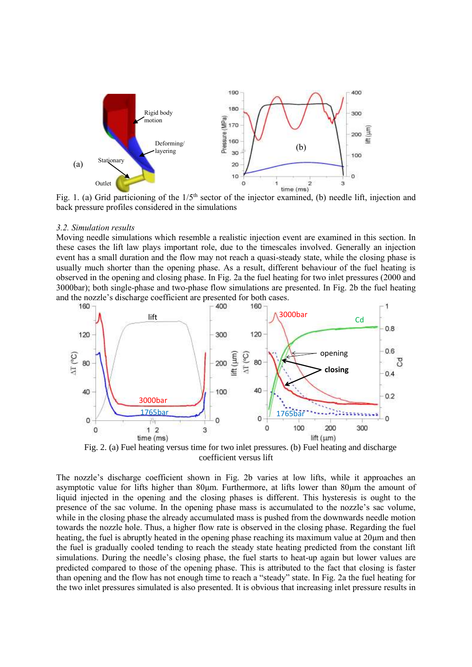

Fig. 1. (a) Grid particioning of the  $1/5<sup>th</sup>$  sector of the injector examined, (b) needle lift, injection and back pressure profiles considered in the simulations

#### *3.2. Simulation results*

Moving needle simulations which resemble a realistic injection event are examined in this section. In these cases the lift law plays important role, due to the timescales involved. Generally an injection event has a small duration and the flow may not reach a quasi-steady state, while the closing phase is usually much shorter than the opening phase. As a result, different behaviour of the fuel heating is observed in the opening and closing phase. In Fig. 2a the fuel heating for two inlet pressures (2000 and 3000bar); both single-phase and two-phase flow simulations are presented. In Fig. 2b the fuel heating and the nozzle's discharge coefficient are presented for both cases.<br> $\overline{160}$  –  $\overline{160}$ 



Fig. 2. (a) Fuel heating versus time for two inlet pressures. (b) Fuel heating and discharge coefficient versus lift

The nozzle's discharge coefficient shown in Fig. 2b varies at low lifts, while it approaches an asymptotic value for lifts higher than 80μm. Furthermore, at lifts lower than 80μm the amount of liquid injected in the opening and the closing phases is different. This hysteresis is ought to the presence of the sac volume. In the opening phase mass is accumulated to the nozzle's sac volume, while in the closing phase the already accumulated mass is pushed from the downwards needle motion towards the nozzle hole. Thus, a higher flow rate is observed in the closing phase. Regarding the fuel heating, the fuel is abruptly heated in the opening phase reaching its maximum value at 20μm and then the fuel is gradually cooled tending to reach the steady state heating predicted from the constant lift simulations. During the needle's closing phase, the fuel starts to heat-up again but lower values are predicted compared to those of the opening phase. This is attributed to the fact that closing is faster than opening and the flow has not enough time to reach a "steady" state. In Fig. 2a the fuel heating for the two inlet pressures simulated is also presented. It is obvious that increasing inlet pressure results in